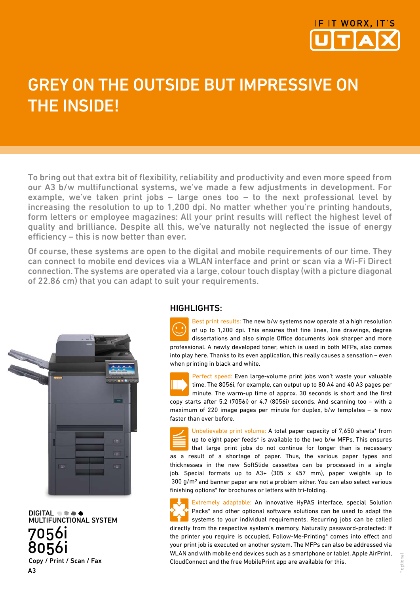

# Grey on the outside but impressive on **THE INSIDE!**

To bring out that extra bit of flexibility, reliability and productivity and even more speed from our A3 b/w multifunctional systems, we've made a few adjustments in development. For example, we've taken print jobs – large ones too – to the next professional level by increasing the resolution to up to 1,200 dpi. No matter whether you're printing handouts, form letters or employee magazines: All your print results will reflect the highest level of quality and brilliance. Despite all this, we've naturally not neglected the issue of energy efficiency – this is now better than ever.

Of course, these systems are open to the digital and mobile requirements of our time. They can connect to mobile end devices via a WLAN interface and print or scan via a Wi-Fi Direct connection. The systems are operated via a large, colour touch display (with a picture diagonal of 22.86 cm) that you can adapt to suit your requirements.



DIGITAL  $\odot \odot \spadesuit$ <br>MULTIFUNCTIONAL SYSTEM 7056i 8056i Copy / Print / Scan / Fax A3

### HIGHLIGHTS:

Best print results: The new b/w systems now operate at a high resolution of up to 1,200 dpi. This ensures that fine lines, line drawings, degree dissertations and also simple Office documents look sharper and more professional. A newly developed toner, which is used in both MFPs, also comes into play here. Thanks to its even application, this really causes a sensation – even when printing in black and white.

Perfect speed: Even large-volume print jobs won't waste your valuable time. The 8056i, for example, can output up to 80 A4 and 40 A3 pages per minute. The warm-up time of approx. 30 seconds is short and the first copy starts after 5.2 (7056i) or 4.7 (8056i) seconds. And scanning too – with a maximum of 220 image pages per minute for duplex, b/w templates – is now faster than ever before.

Unbelievable print volume: A total paper capacity of 7,650 sheets\* from up to eight paper feeds\* is available to the two b/w MFPs. This ensures that large print jobs do not continue for longer than is necessary as a result of a shortage of paper. Thus, the various paper types and thicknesses in the new SoftSlide cassettes can be processed in a single job. Special formats up to A3+ (305 x 457 mm), paper weights up to 300 g/m2 and banner paper are not a problem either. You can also select various finishing options\* for brochures or letters with tri-folding.

Extremely adaptable: An innovative HyPAS interface, special Solution Packs\* and other optional software solutions can be used to adapt the systems to your individual requirements. Recurring jobs can be called directly from the respective system's memory. Naturally password-protected: If the printer you require is occupied, Follow-Me-Printing\* comes into effect and your print job is executed on another system. The MFPs can also be addressed via WLAN and with mobile end devices such as a smartphone or tablet. Apple AirPrint, CloudConnect and the free MobilePrint app are available for this.